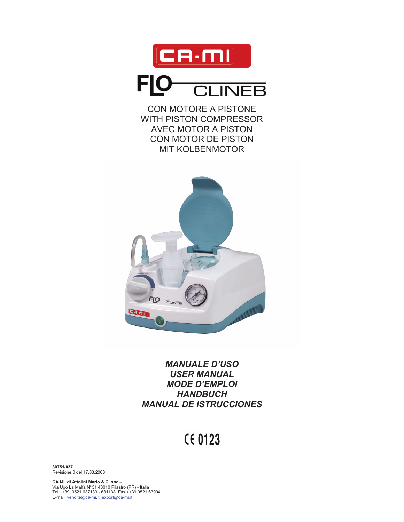

CON MOTORE A PISTONE WITH PISTON COMPRESSOR AVEC MOTOR A PISTON CON MOTOR DE PISTON MIT KOLBENMOTOR



# *MANUALE D'USO USER MANUAL MODE D'EMPLOI HANDBUCH MANUAL DE ISTRUCCIONES*

# **CE 0123**

**30751/037**  Revisione 0 del 17.03.2008

**CA.MI. di Attolini Mario & C. snc –**  Via Ugo La Malfa N° 31 43010 Pilastro (PR) - Italia Tel ++39 0521 637133 - 631138 Fax ++39 0521 639041 E-mail: vendite@ca-mi.it; export@ca-mi.it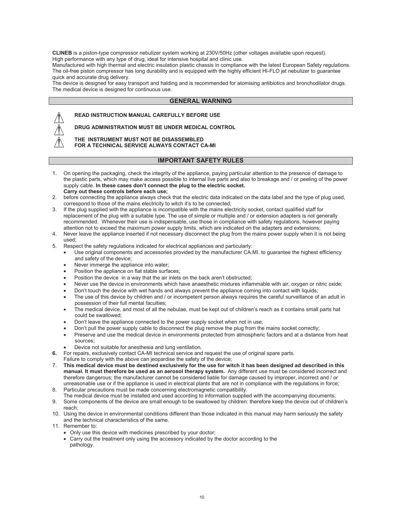**CLINEB** is a piston-type compressor nebulizer system working at 230V/50Hz (other voltages available upon request). High performance with any type of drug, ideal for intensive hospital and clinic use.

Manufactured with high thermal and electric insulation plastic chassis in compliance with the latest European Safety regulations. The oil-free piston compressor has long durability and is equipped with the highly efficient HI-FLO jet nebulizer to guarantee quick and accurate drug delivery.

The device is designed for easy transport and halding and is recommended for atomising antibiotics and bronchodilator drugs. The medical device is designed for continuous use.

### **GENERAL WARNING**



# **READ INSTRUCTION MANUAL CAREFULLY BEFORE USE**

**DRUG ADMINISTRATION MUST BE UNDER MEDICAL CONTROL** 

**THE INSTRUMENT MUST NOT BE DISASSEMBLED FOR A TECHNICAL SERVICE ALWAYS CONTACT CA-MI** 

### **IMPORTANT SAFETY RULES**

- 1. On opening the packaging, check the integrity of the appliance, paying particular attention to the presence of damage to the plastic parts, which may make access possible to internal live parts and also to breakage and / or peeling of the power supply cable. **In these cases don't connect the plug to the electric socket. Carry out these controls before each use;**
- 2. before connecting the appliance always check that the electric data indicated on the data label and the type of plug used, correspond to those of the mains electricity to witch it's to be connected;
- 3. If the plug supplied with the appliance is incompatible with the mains electricity socket, contact qualified staff for replacement of the plug with a suitable type. The use of simple or multiple and / or extension adapters is not generally recommended. Whenever their use is indispensable, use those in compliance with safety regulations, however paying attention not to exceed the maximum power supply limits, which are indicated on the adapters and extensions;
- 4. Never leave the appliance inserted if not necessary disconnect the plug from the mains power supply when it is not being used;
- 5. Respect the safety regulations indicated for electrical appliances and particularly:
	- Use original components and accessories provided by the manufacturer CA.MI. to guarantee the highest efficiency and safety of the device;
	- Never immerge the appliance into water;
	- Position the appliance on flat stable surfaces;
	- Position the device in a way that the air inlets on the back aren't obstructed;
	- Never use the device in environments which have anaesthetic mixtures inflammable with air, oxygen or nitric oxide;
	- Don't touch the device with wet hands and always prevent the appliance coming into contact with liquids;
	- The use of this device by children and / or incompetent person always requires the careful surveillance of an adult in possession of their full mental faculties;
	- The medical device, and most of all the nebulae, must be kept out of children's reach as it contains small parts hat could be swallowed;
	- Don't leave the appliance connected to the power supply socket when not in use;
	- Don't pull the power supply cable to disconnect the plug remove the plug from the mains socket correctly;
	- Preserve and use the medical device in environments protected from atmospheric factors and at a distance from heat sources;
		- Device not suitable for anesthesia and lung ventilation.
- **6.** For repairs, exclusively contact CA-MI technical service and request the use of original spare parts.
- Failure to comply with the above can jeopardise the safety of the device;
- 7. **This medical device must be destined exclusively for the use for witch it has been designed ad described in this manual. It must therefore be used as an aerosol therapy system.** Any different use must be considered incorrect and therefore dangerous; the manufacturer cannot be considered liable for damage caused by improper, incorrect and / or unreasonable use or if the appliance is used in electrical plants that are not in compliance with the regulations in force;
- 8. Particular precautions must be made concerning electromagnetic compatibility.
- The medical device must be installed and used according to information supplied with the accompanying documents; 9. Some components of the device are small enough to be swallowed by children: therefore keep the device out of children's
- reach; 10. Using the device in environmental conditions different than those indicated in this manual may harm seriously the safety and the technical characteristics of the same.
- 11. Remember to:
	- Only use this device with medicines prescribed by your doctor;
	- Carry out the treatment only using the accessory indicated by the doctor according to the pathology.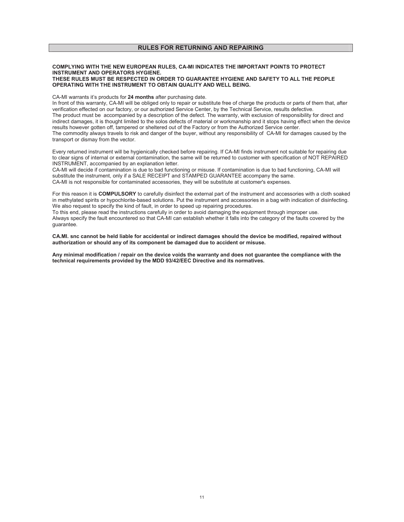#### **COMPLYING WITH THE NEW EUROPEAN RULES, CA-MI INDICATES THE IMPORTANT POINTS TO PROTECT INSTRUMENT AND OPERATORS HYGIENE. THESE RULES MUST BE RESPECTED IN ORDER TO GUARANTEE HYGIENE AND SAFETY TO ALL THE PEOPLE OPERATING WITH THE INSTRUMENT TO OBTAIN QUALITY AND WELL BEING.**

CA-MI warrants it's products for **24 months** after purchasing date.

In front of this warranty, CA-MI will be obliged only to repair or substitute free of charge the products or parts of them that, after verification effected on our factory, or our authorized Service Center, by the Technical Service, results defective. The product must be accompanied by a description of the defect. The warranty, with exclusion of responsibility for direct and indirect damages, it is thought limited to the solos defects of material or workmanship and it stops having effect when the device results however gotten off, tampered or sheltered out of the Factory or from the Authorized Service center. The commodity always travels to risk and danger of the buyer, without any responsibility of CA-MI for damages caused by the transport or dismay from the vector.

Every returned instrument will be hygienically checked before repairing. If CA-MI finds instrument not suitable for repairing due to clear signs of internal or external contamination, the same will be returned to customer with specification of NOT REPAIRED INSTRUMENT, accompanied by an explanation letter.

CA-MI will decide if contamination is due to bad functioning or misuse. If contamination is due to bad functioning, CA-MI will substitute the instrument, only if a SALE RECEIPT and STAMPED GUARANTEE accompany the same. CA-MI is not responsible for contaminated accessories, they will be substitute at customer's expenses.

For this reason it is **COMPULSORY** to carefully disinfect the external part of the instrument and accessories with a cloth soaked in methylated spirits or hypochlorite-based solutions. Put the instrument and accessories in a bag with indication of disinfecting. We also request to specify the kind of fault, in order to speed up repairing procedures.

To this end, please read the instructions carefully in order to avoid damaging the equipment through improper use. Always specify the fault encountered so that CA-MI can establish whether it falls into the category of the faults covered by the guarantee.

**CA.MI. snc cannot be held liable for accidental or indirect damages should the device be modified, repaired without authorization or should any of its component be damaged due to accident or misuse.** 

**Any minimal modification / repair on the device voids the warranty and does not guarantee the compliance with the technical requirements provided by the MDD 93/42/EEC Directive and its normatives.**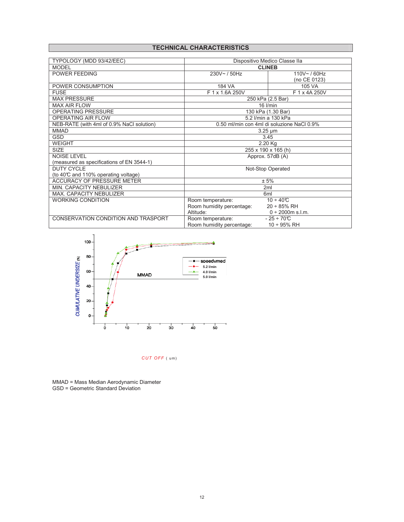# **TECHNICAL CHARACTERISTICS**

| TYPOLOGY (MDD 93/42/EEC)                  | Dispositivo Medico Classe IIa              |                        |  |
|-------------------------------------------|--------------------------------------------|------------------------|--|
| <b>MODEL</b>                              | <b>CLINEB</b>                              |                        |  |
| <b>POWER FEEDING</b>                      | 230V~/50Hz                                 | 110V~/60Hz             |  |
|                                           |                                            | (no CE 0123)           |  |
| POWER CONSUMPTION                         | 184 VA                                     | 105 VA                 |  |
| <b>FUSE</b>                               | F 1 x 1.6A 250V                            | F 1 x 4A 250V          |  |
| <b>MAX PRESSURE</b>                       | 250 kPa (2.5 Bar)                          |                        |  |
| <b>MAX AIR FLOW</b>                       | $16$ I/min                                 |                        |  |
| <b>OPERATING PRESSURE</b>                 | 130 kPa (1.30 Bar)                         |                        |  |
| <b>OPERATING AIR FLOW</b>                 | 5.2 I/min a 130 kPa                        |                        |  |
| NEB-RATE (with 4ml of 0.9% NaCl solution) | 0.50 ml/min con 4ml di soluzione NaCl 0.9% |                        |  |
| <b>MMAD</b>                               | $3.25 \mu m$                               |                        |  |
| <b>GSD</b>                                | 3.45                                       |                        |  |
| <b>WEIGHT</b>                             | $2.20$ Kg                                  |                        |  |
| <b>SIZE</b>                               | 255 x 190 x 165 (h)                        |                        |  |
| <b>NOISE LEVEL</b>                        | Approx. 57dB (A)                           |                        |  |
| (measured as specifications of EN 3544-1) |                                            |                        |  |
| <b>DUTY CYCLE</b>                         | Not-Stop Operated                          |                        |  |
| (to 40℃ and 110% operating voltage)       |                                            |                        |  |
| <b>ACCURACY OF PRESSURE METER</b>         | ± 5%                                       |                        |  |
| MIN. CAPACITY NEBULIZER                   | 2ml                                        |                        |  |
| <b>MAX. CAPACITY NEBULIZER</b>            | 6 <sub>ml</sub>                            |                        |  |
| <b>WORKING CONDITION</b>                  | Room temperature:                          | $10 \div 40^{\circ}C$  |  |
|                                           | Room humidity percentage:                  | $20 \div 85\%$ RH      |  |
|                                           | Altitude:                                  | $0 \div 2000$ m s.l.m. |  |
| CONSERVATION CONDITION AND TRASPORT       | Room temperature:                          | $-25 \div 70^{\circ}C$ |  |
|                                           | Room humidity percentage:                  | $10 \div 95\%$ RH      |  |



*CUT OFF* ( um)

MMAD = Mass Median Aerodynamic Diameter GSD = Geometric Standard Deviation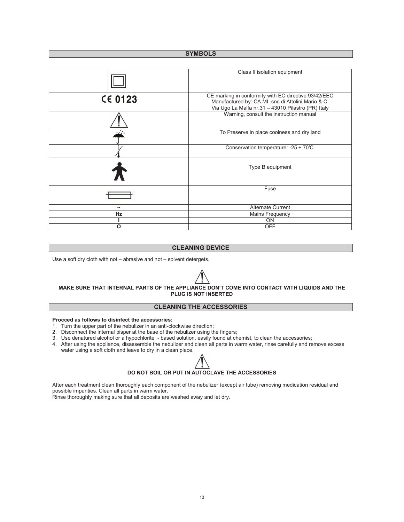### **SYMBOLS**

|                | Class II isolation equipment                                                                                                                                     |  |
|----------------|------------------------------------------------------------------------------------------------------------------------------------------------------------------|--|
| <b>CE 0123</b> | CE marking in conformity with EC directive 93/42/EEC<br>Manufactured by: CA.MI. snc di Attolini Mario & C.<br>Via Ugo La Malfa nr.31 - 43010 Pilastro (PR) Italy |  |
|                | Warning, consult the instruction manual                                                                                                                          |  |
|                | To Preserve in place coolness and dry land                                                                                                                       |  |
|                | Conservation temperature: -25 $\div$ 70°C                                                                                                                        |  |
|                | Type B equipment                                                                                                                                                 |  |
|                | Fuse                                                                                                                                                             |  |
|                | <b>Alternate Current</b>                                                                                                                                         |  |
| <b>Hz</b>      | Mains Frequency                                                                                                                                                  |  |
|                | ON                                                                                                                                                               |  |
| Ο              | <b>OFF</b>                                                                                                                                                       |  |

# **CLEANING DEVICE**

Use a soft dry cloth with not – abrasive and not – solvent detergets.

# **MAKE SURE THAT INTERNAL PARTS OF THE APPLIANCE DON'T COME INTO CONTACT WITH LIQUIDS AND THE PLUG IS NOT INSERTED**

# **CLEANING THE ACCESSORIES**

#### **Procced as follows to disinfect the accessories:**

- 1. Turn the upper part of the nebulizer in an anti-clockwise direction;
- 2. Disconnect the internal pisper at the base of the nebulizer using the fingers;
- 3. Use denatured alcohol or a hypochlorite based solution, easily found at chemist, to clean the accessories;
- 4. After using the appliance, disassemble the nebulizer and clean all parts in warm water, rinse carefully and remove excess water using a soft cloth and leave to dry in a clean place.



After each treatment clean thoroughly each component of the nebulizer (except air tube) removing medication residual and possible impurities. Clean all parts in warm water.

Rinse thoroughly making sure that all deposits are washed away and let dry.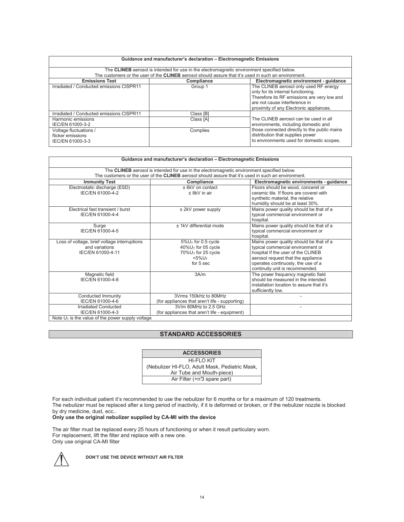| Guidance and manufacturer's declaration - Electromagnetic Emissions                                                                                                                                       |            |                                                                                                                                                                                                         |  |  |
|-----------------------------------------------------------------------------------------------------------------------------------------------------------------------------------------------------------|------------|---------------------------------------------------------------------------------------------------------------------------------------------------------------------------------------------------------|--|--|
| The CLINEB aerosol is intended for use in the electromagnetic environment specified below.<br>The customers or the user of the <b>CLINEB</b> aerosol should assure that it's used in such an environment. |            |                                                                                                                                                                                                         |  |  |
| <b>Emissions Test</b>                                                                                                                                                                                     | Compliance | Electromagnetic environment - guidance                                                                                                                                                                  |  |  |
| Irradiated / Conducted emissions CISPR11                                                                                                                                                                  | Group 1    | The CLINEB aerosol only used RF energy<br>only for its internal functioning.<br>Therefore its RF emissions are very low and<br>are not cause interference in<br>proximity of any Electronic appliances. |  |  |
| Irradiated / Conducted emissions CISPR11                                                                                                                                                                  | Class [B]  |                                                                                                                                                                                                         |  |  |
| Harmonic emissions<br>IEC/EN 61000-3-2                                                                                                                                                                    | Class [A]  | The CLINEB aerosol can be used in all<br>environments, including domestic and                                                                                                                           |  |  |
| Voltage fluctuations /<br>flicker emissions<br>IEC/EN 61000-3-3                                                                                                                                           | Complies   | those connected directly to the public mains<br>distribution that supplies power<br>to environments used for domestic scopes.                                                                           |  |  |

| Guidance and manufacturer's declaration - Electromagnetic Emissions                                         |                                                                                                                                           |                                                                                                                                                                                                                                   |  |  |
|-------------------------------------------------------------------------------------------------------------|-------------------------------------------------------------------------------------------------------------------------------------------|-----------------------------------------------------------------------------------------------------------------------------------------------------------------------------------------------------------------------------------|--|--|
| The CLINEB aerosol is intended for use in the electromagnetic environment specified below.                  |                                                                                                                                           |                                                                                                                                                                                                                                   |  |  |
| The customers or the user of the <b>CLINEB</b> aerosol should assure that it's used in such an environment. |                                                                                                                                           |                                                                                                                                                                                                                                   |  |  |
| <b>Immunity Test</b>                                                                                        | Compliance                                                                                                                                | Electromagnetic environments - guidance                                                                                                                                                                                           |  |  |
| Electrostatic discharge (ESD)<br>IEC/EN 61000-4-2                                                           | $± 6kV$ on contact<br>$± 8kV$ in air                                                                                                      | Floors should be wood, conceret or<br>ceramic tile. If floors are coverei with<br>synthetic material, the relative<br>humidity should be at least 30%.                                                                            |  |  |
| Electrical fast transient / burst<br>IEC/EN 61000-4-4                                                       | $±$ 2kV power supply                                                                                                                      | Mains power quality should be that of a<br>typical commercial environment or<br>hospital.                                                                                                                                         |  |  |
| Surge<br>IEC/EN 61000-4-5                                                                                   | ± 1kV differential mode                                                                                                                   | Mains power quality should be that of a<br>typical commercial environment or<br>hospital.                                                                                                                                         |  |  |
| Loss of voltage, brief voltage interruptions<br>and variations<br>IEC/EN 61000-4-11                         | $5\%$ U <sub>T</sub> for 0.5 cycle<br>$40\%$ U <sub>T</sub> for 05 cycle<br>70%U <sub>T</sub> for 25 cycle<br>$<$ 5% $U\tau$<br>for 5 sec | Mains power quality should be that of a<br>typical commercial environment or<br>hospital If the user of the CLINEB<br>aerosol request that the appliance<br>operates continuosly, the use of a<br>continuity unit is recommended. |  |  |
| Magnetic field<br>IEC/EN 61000-4-8                                                                          | 3A/m                                                                                                                                      | The power frequency magnetic field<br>should be measured in the intended<br>installation location to assure that it's<br>sufficiently low.                                                                                        |  |  |
| Conducted Immunity<br>IEC/EN 61000-4-6                                                                      | 3Vrms 150kHz to 80MHz<br>(for appliances that aren't life - supporting)                                                                   | ٠                                                                                                                                                                                                                                 |  |  |
| <b>Irradiated Conducted</b><br>IEC/EN 61000-4-3                                                             | 3V/m 80MHz to 2.5 GHz<br>(for appliances that aren't life - equipment)                                                                    | ۰                                                                                                                                                                                                                                 |  |  |
| Note $U_T$ is the value of the power supply voltage                                                         |                                                                                                                                           |                                                                                                                                                                                                                                   |  |  |

# **STANDARD ACCESSORIES**

| <b>ACCESSORIES</b>                             |  |  |
|------------------------------------------------|--|--|
| HI-FI O KIT                                    |  |  |
| (Nebulizer HI-FLO, Adult Mask, Pediatric Mask, |  |  |
| Air Tube and Mouth-piece)                      |  |  |
| Air Filter (+n <sup>3</sup> spare part)        |  |  |

For each individual patient it's recommended to use the nebulizer for 6 months or for a maximum of 120 treatments. The nebulizer must be replaced after a long period of inactivity, if it is deformed or broken, or if the nebulizer nozzle is blocked by dry medicine, dust, ecc..

### **Only use the original nebulizer supplied by CA-MI with the device**

The air filter must be replaced every 25 hours of functioning or when it result particulary worn. For replacement, lift the filter and replace with a new one. Only use original CA-MI filter



**DON'T USE THE DEVICE WITHOUT AIR FILTER**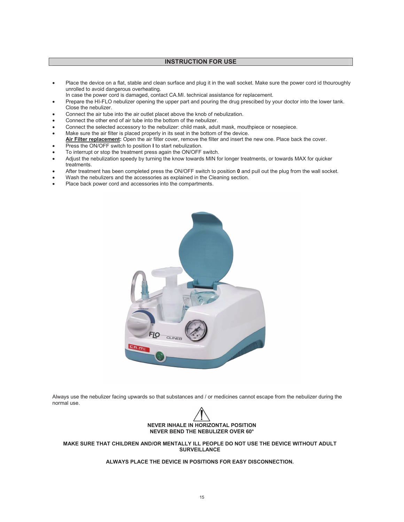# **INSTRUCTION FOR USE**

- Place the device on a flat, stable and clean surface and plug it in the wall socket. Make sure the power cord id thouroughly unrolled to avoid dangerous overheating.
- In case the power cord is damaged, contact CA.MI. technical assistance for replacement.
- Prepare the HI-FLO nebulizer opening the upper part and pouring the drug prescibed by your doctor into the lower tank. Close the nebulizer.
- Connect the air tube into the air outlet placet above the knob of nebulization.
- Connect the other end of air tube into the bottom of the nebulizer.
- Connect the selected accessory to the nebulizer: child mask, adult mask, mouthpiece or nosepiece.
- Make sure the air filter is placed properly in its seat in the bottom of the device.
- **Air Filter replacement:** Open the air filter cover, remove the filter and insert the new one. Place back the cover.
- Press the ON/OFF switch to position **I** to start nebulization.
- To interrupt or stop the treatment press again the ON/OFF switch.
- Adjust the nebulization speedy by turning the know towards MIN for longer treatments, or towards MAX for quicker treatments.
- After treatment has been completed press the ON/OFF switch to position **0** and pull out the plug from the wall socket.
- Wash the nebulizers and the accessories as explained in the Cleaning section.
- Place back power cord and accessories into the compartments.



Always use the nebulizer facing upwards so that substances and / or medicines cannot escape from the nebulizer during the normal use.



**MAKE SURE THAT CHILDREN AND/OR MENTALLY ILL PEOPLE DO NOT USE THE DEVICE WITHOUT ADULT SURVEILLANCE** 

**ALWAYS PLACE THE DEVICE IN POSITIONS FOR EASY DISCONNECTION.**